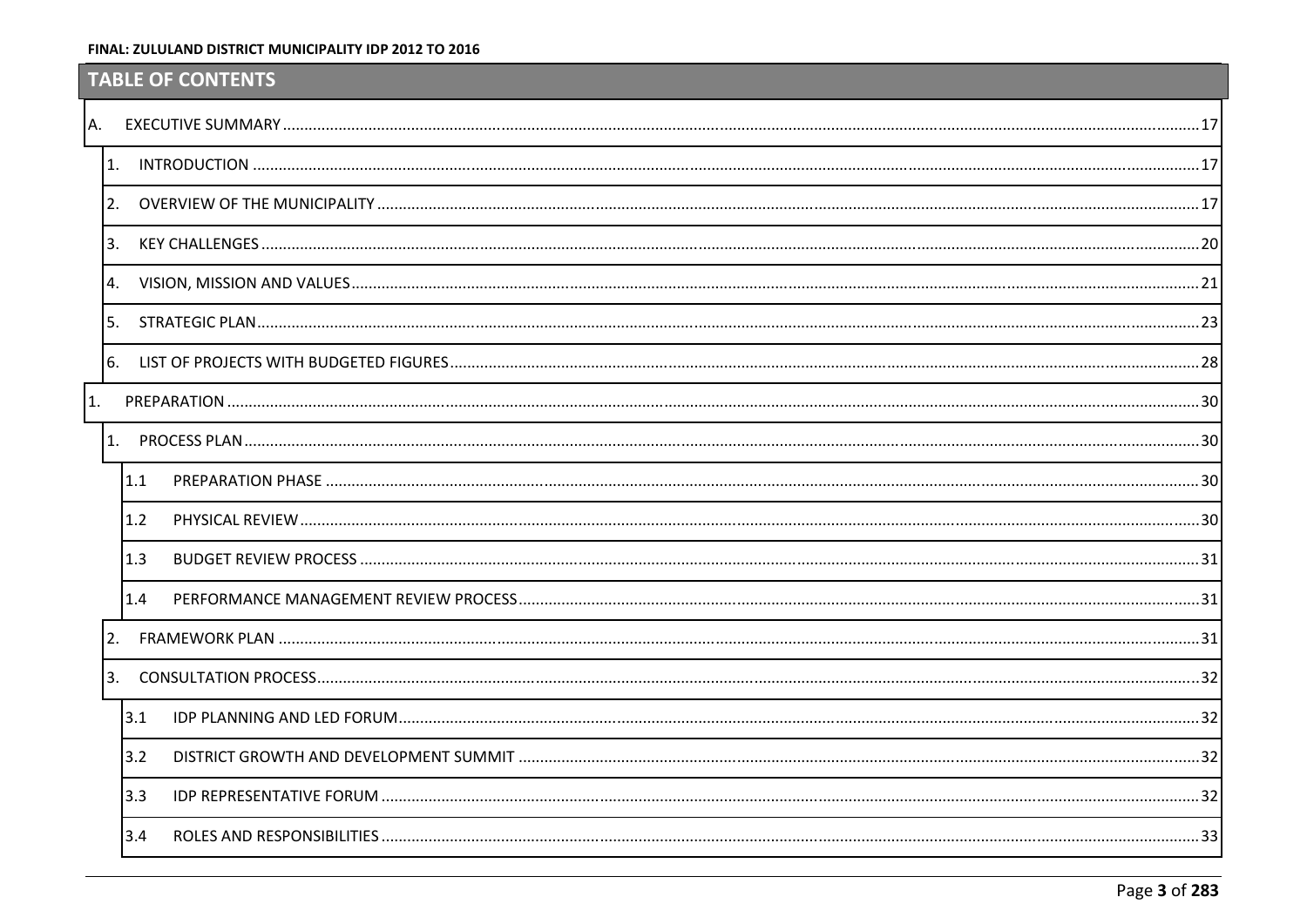# <span id="page-0-7"></span><span id="page-0-0"></span>**TABLE OF CONTENTS**

<span id="page-0-14"></span><span id="page-0-13"></span><span id="page-0-12"></span><span id="page-0-11"></span><span id="page-0-10"></span><span id="page-0-9"></span><span id="page-0-8"></span><span id="page-0-6"></span><span id="page-0-5"></span><span id="page-0-4"></span><span id="page-0-3"></span><span id="page-0-2"></span><span id="page-0-1"></span>

| 1.           |     |  |
|--------------|-----|--|
|              |     |  |
| 3.           |     |  |
|              |     |  |
| 5.           |     |  |
|              |     |  |
| $1_{\cdot}$  |     |  |
|              |     |  |
|              | 1.1 |  |
|              | 1.2 |  |
|              | 1.3 |  |
|              | 1.4 |  |
| 2.           |     |  |
| $\mathbf{R}$ |     |  |
|              | 3.1 |  |
|              | 3.2 |  |
|              | 3.3 |  |
|              | 3.4 |  |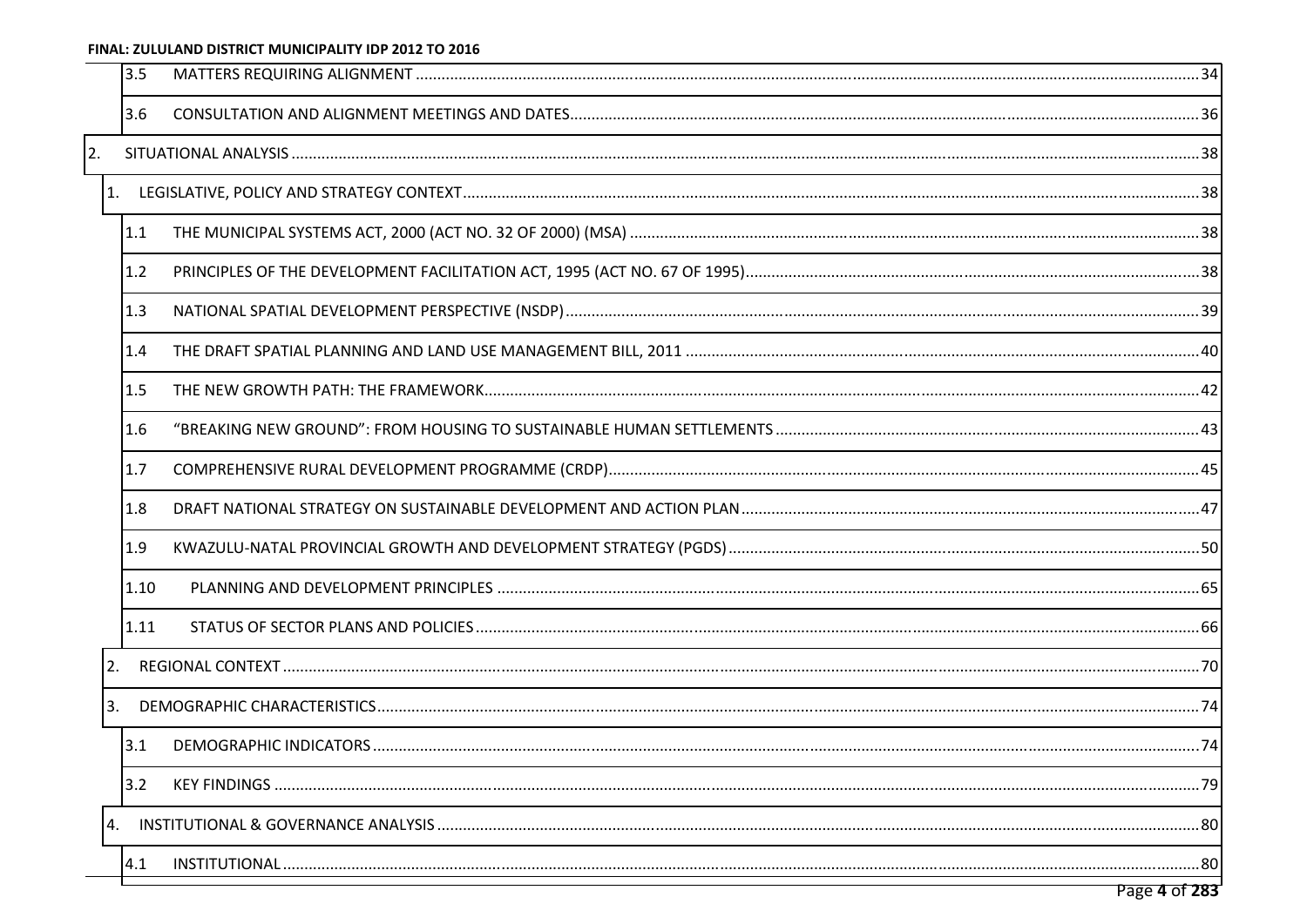<span id="page-1-17"></span><span id="page-1-16"></span><span id="page-1-15"></span><span id="page-1-14"></span><span id="page-1-13"></span><span id="page-1-12"></span><span id="page-1-11"></span><span id="page-1-10"></span><span id="page-1-9"></span><span id="page-1-8"></span><span id="page-1-7"></span><span id="page-1-6"></span><span id="page-1-5"></span><span id="page-1-4"></span><span id="page-1-3"></span><span id="page-1-2"></span><span id="page-1-1"></span><span id="page-1-0"></span>

|    | 3.5  |  |
|----|------|--|
|    | 3.6  |  |
| 2. |      |  |
| 1. |      |  |
|    | 1.1  |  |
|    | 1.2  |  |
|    | 1.3  |  |
|    | 1.4  |  |
|    | 1.5  |  |
|    | 1.6  |  |
|    | 1.7  |  |
|    | 1.8  |  |
|    | 1.9  |  |
|    | 1.10 |  |
|    | 1.11 |  |
| 2. |      |  |
| 3. |      |  |
|    | 3.1  |  |
|    | 3.2  |  |
| 4. |      |  |
|    | 4.1  |  |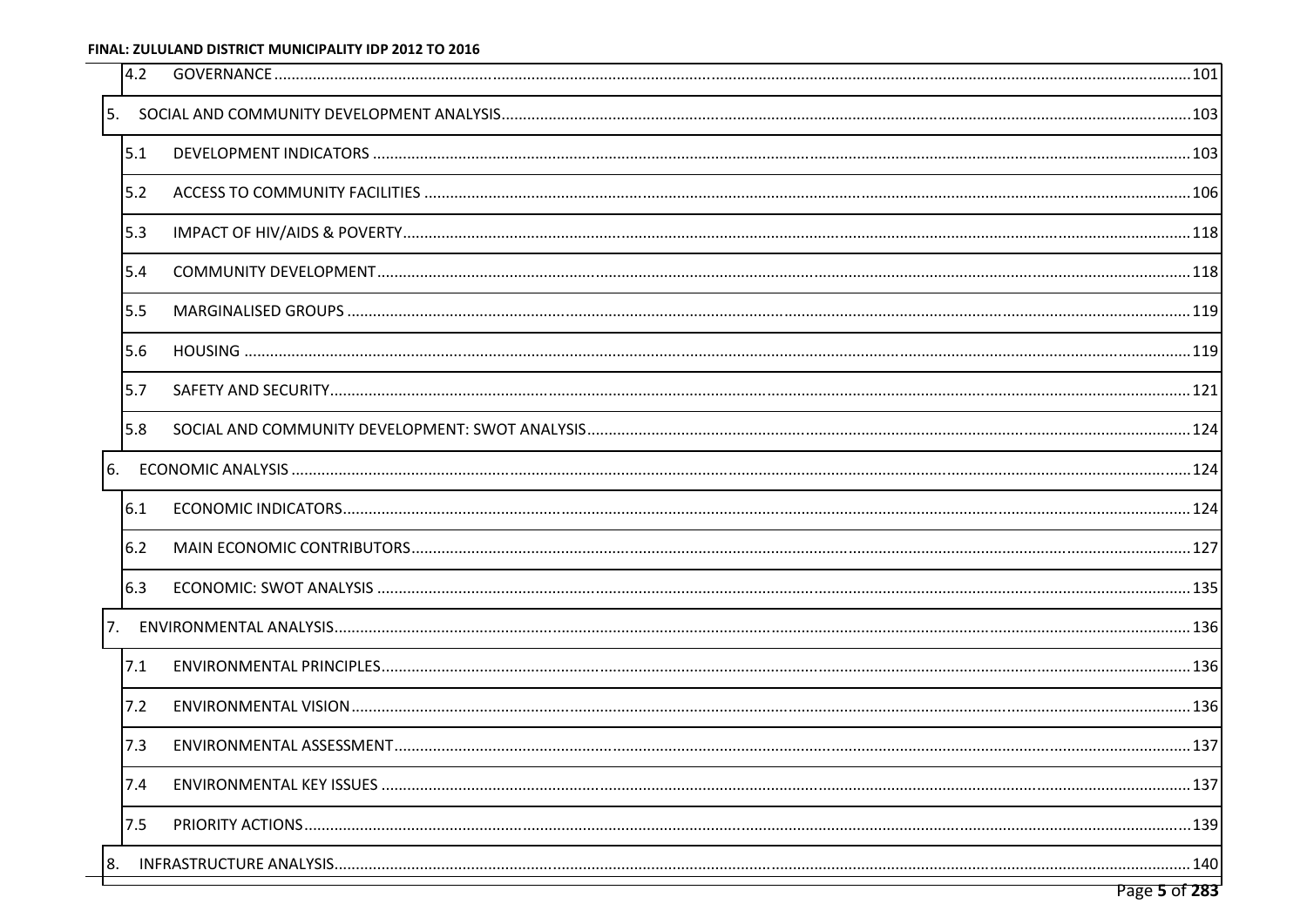<span id="page-2-18"></span><span id="page-2-11"></span><span id="page-2-10"></span><span id="page-2-8"></span><span id="page-2-5"></span><span id="page-2-3"></span><span id="page-2-0"></span> $\sim$ 

<span id="page-2-19"></span><span id="page-2-17"></span><span id="page-2-16"></span><span id="page-2-15"></span><span id="page-2-14"></span><span id="page-2-13"></span><span id="page-2-12"></span><span id="page-2-9"></span><span id="page-2-7"></span><span id="page-2-6"></span><span id="page-2-4"></span><span id="page-2-2"></span><span id="page-2-1"></span>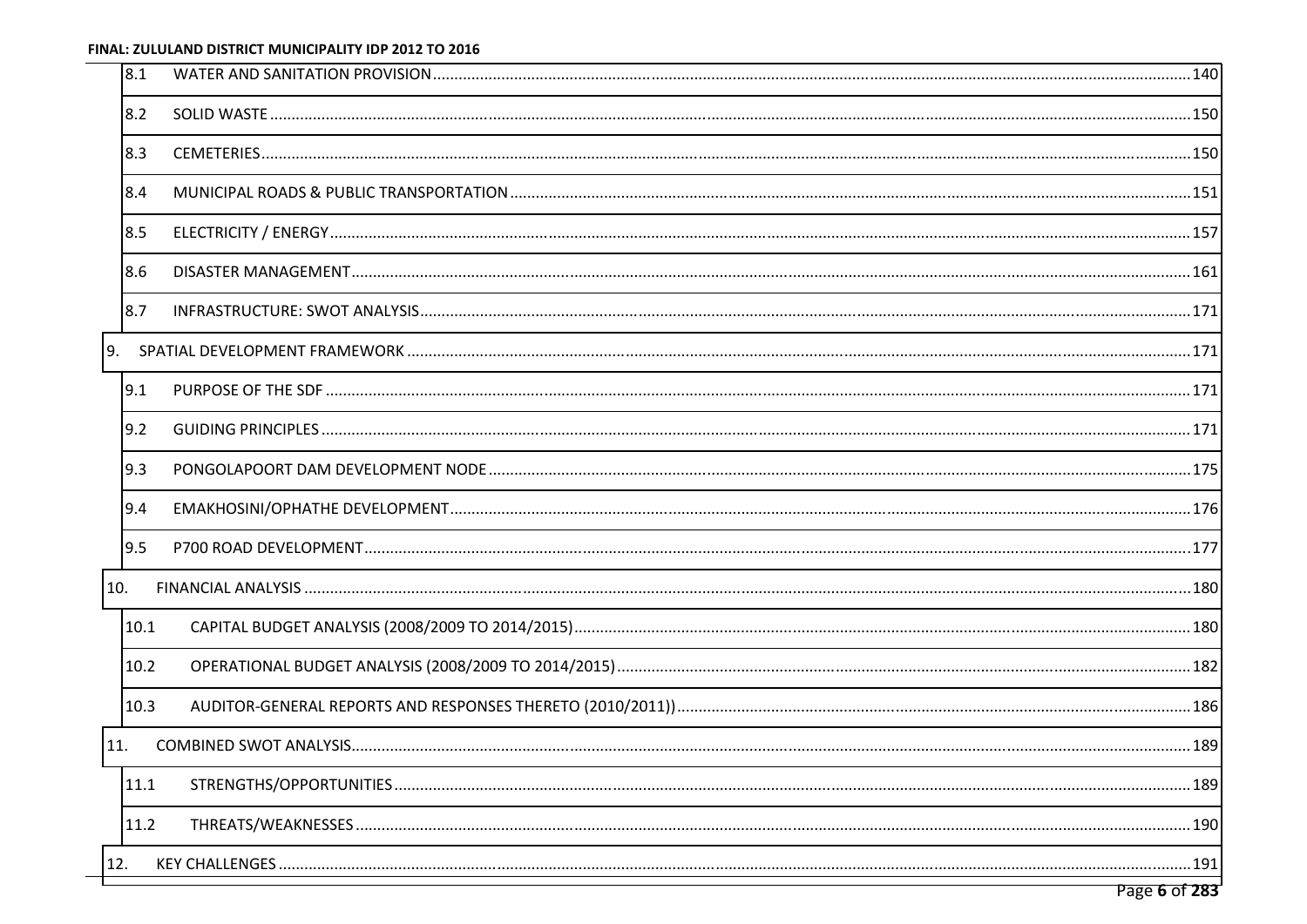<span id="page-3-12"></span><span id="page-3-11"></span><span id="page-3-10"></span><span id="page-3-9"></span><span id="page-3-8"></span><span id="page-3-7"></span><span id="page-3-6"></span><span id="page-3-5"></span><span id="page-3-4"></span><span id="page-3-3"></span><span id="page-3-2"></span><span id="page-3-1"></span><span id="page-3-0"></span>

| 8.1  |  |
|------|--|
| 8.2  |  |
| 8.3  |  |
| 8.4  |  |
| 8.5  |  |
| 8.6  |  |
| 8.7  |  |
| 9.   |  |
| 9.1  |  |
| 9.2  |  |
| 9.3  |  |
| 9.4  |  |
| 9.5  |  |
| 10.  |  |
| 10.1 |  |
| 10.2 |  |
| 10.3 |  |
| 11.  |  |
| 11.1 |  |
| 11.2 |  |
| 12.  |  |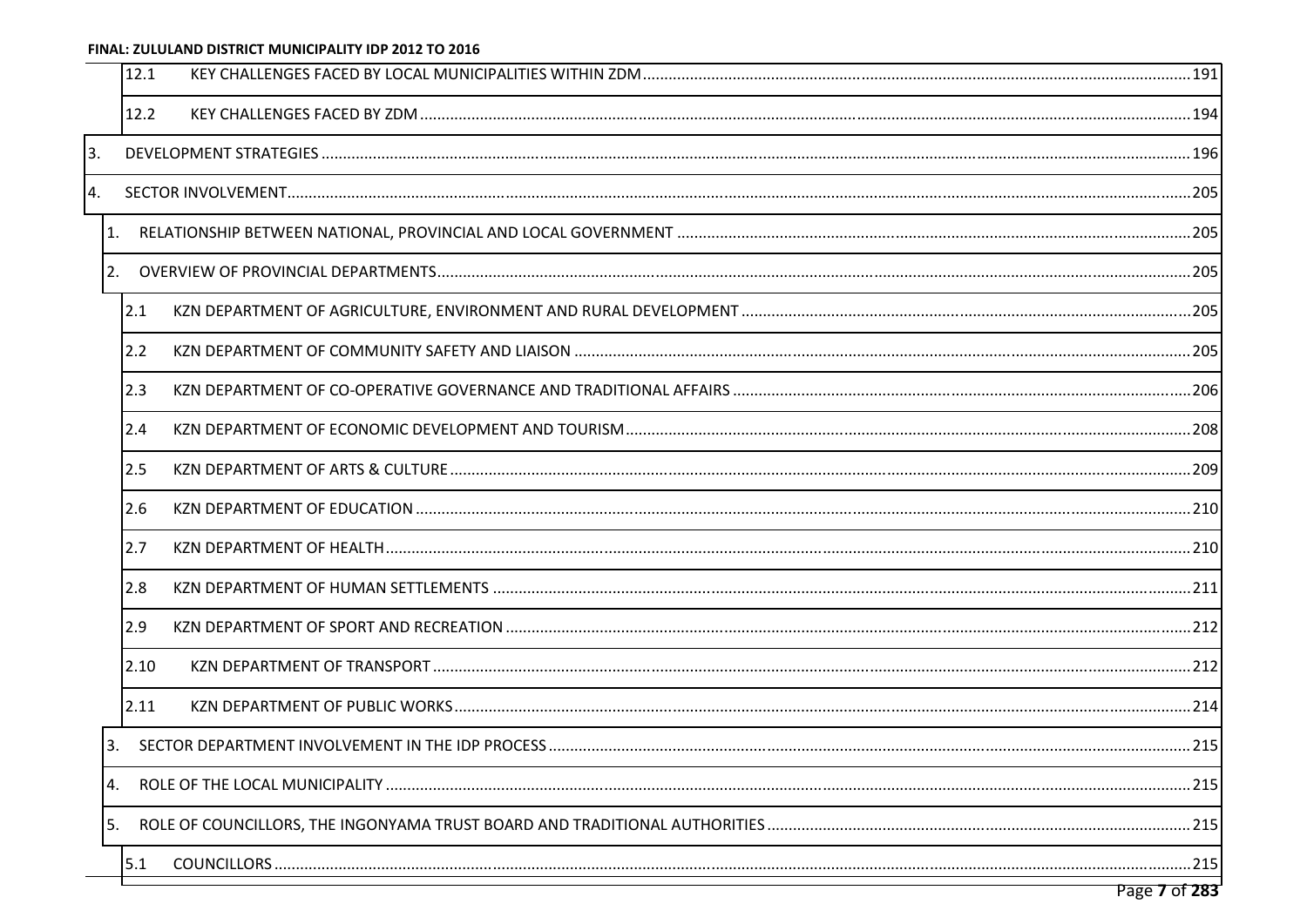<span id="page-4-17"></span><span id="page-4-16"></span><span id="page-4-15"></span><span id="page-4-14"></span><span id="page-4-13"></span><span id="page-4-12"></span><span id="page-4-11"></span><span id="page-4-10"></span><span id="page-4-9"></span><span id="page-4-8"></span><span id="page-4-7"></span><span id="page-4-6"></span><span id="page-4-5"></span><span id="page-4-4"></span><span id="page-4-3"></span><span id="page-4-2"></span><span id="page-4-1"></span><span id="page-4-0"></span>

| 12.1           |  |
|----------------|--|
| 12.2           |  |
| 3.             |  |
| $\mathbf{4}$ . |  |
| 1.             |  |
| 2.             |  |
| 2.1            |  |
| 2.2            |  |
| 2.3            |  |
| 2.4            |  |
| 2.5            |  |
| 2.6            |  |
| 2.7            |  |
| 2.8            |  |
| 2.9            |  |
| 2.10           |  |
| 2.11           |  |
| 3.             |  |
| 4.             |  |
| 5.             |  |
| 5.1            |  |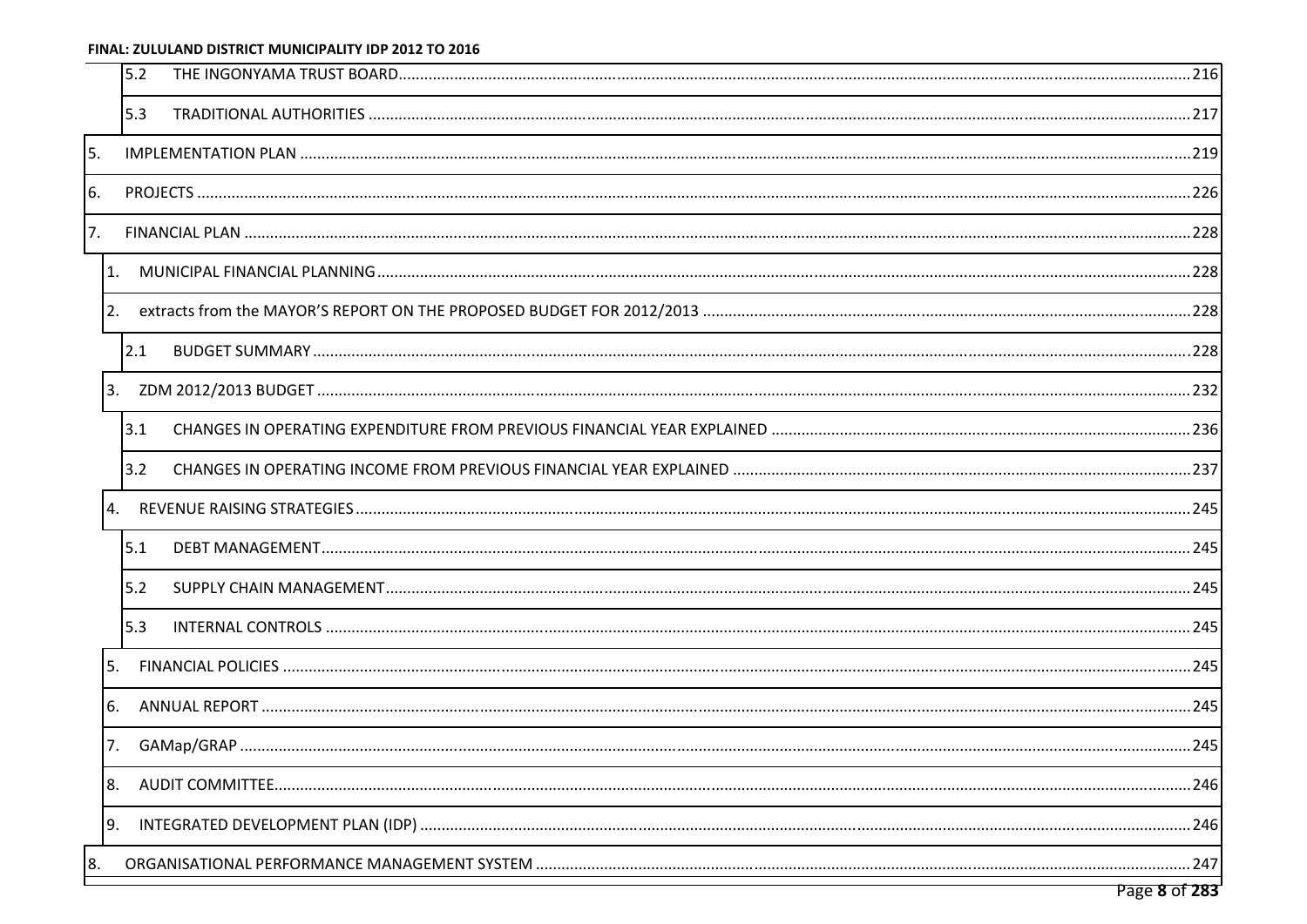### <span id="page-5-5"></span>FINAL: ZULULAND DISTRICT MUNICIPALITY IDP 2012 TO 2016  $\overline{\phantom{a}}$

<span id="page-5-15"></span><span id="page-5-14"></span><span id="page-5-13"></span><span id="page-5-12"></span><span id="page-5-11"></span><span id="page-5-10"></span><span id="page-5-9"></span><span id="page-5-8"></span><span id="page-5-7"></span><span id="page-5-6"></span><span id="page-5-4"></span><span id="page-5-3"></span><span id="page-5-2"></span><span id="page-5-1"></span><span id="page-5-0"></span>

| 5.2 |  |
|-----|--|
| 5.3 |  |
| 5.  |  |
| 6.  |  |
| 7.  |  |
| 1.  |  |
| 2.  |  |
| 2.1 |  |
|     |  |
| 3.1 |  |
| 3.2 |  |
| 4.  |  |
| 5.1 |  |
| 5.2 |  |
| 5.3 |  |
| .5. |  |
| 6.  |  |
|     |  |
|     |  |
| 9.  |  |
| 8.  |  |
|     |  |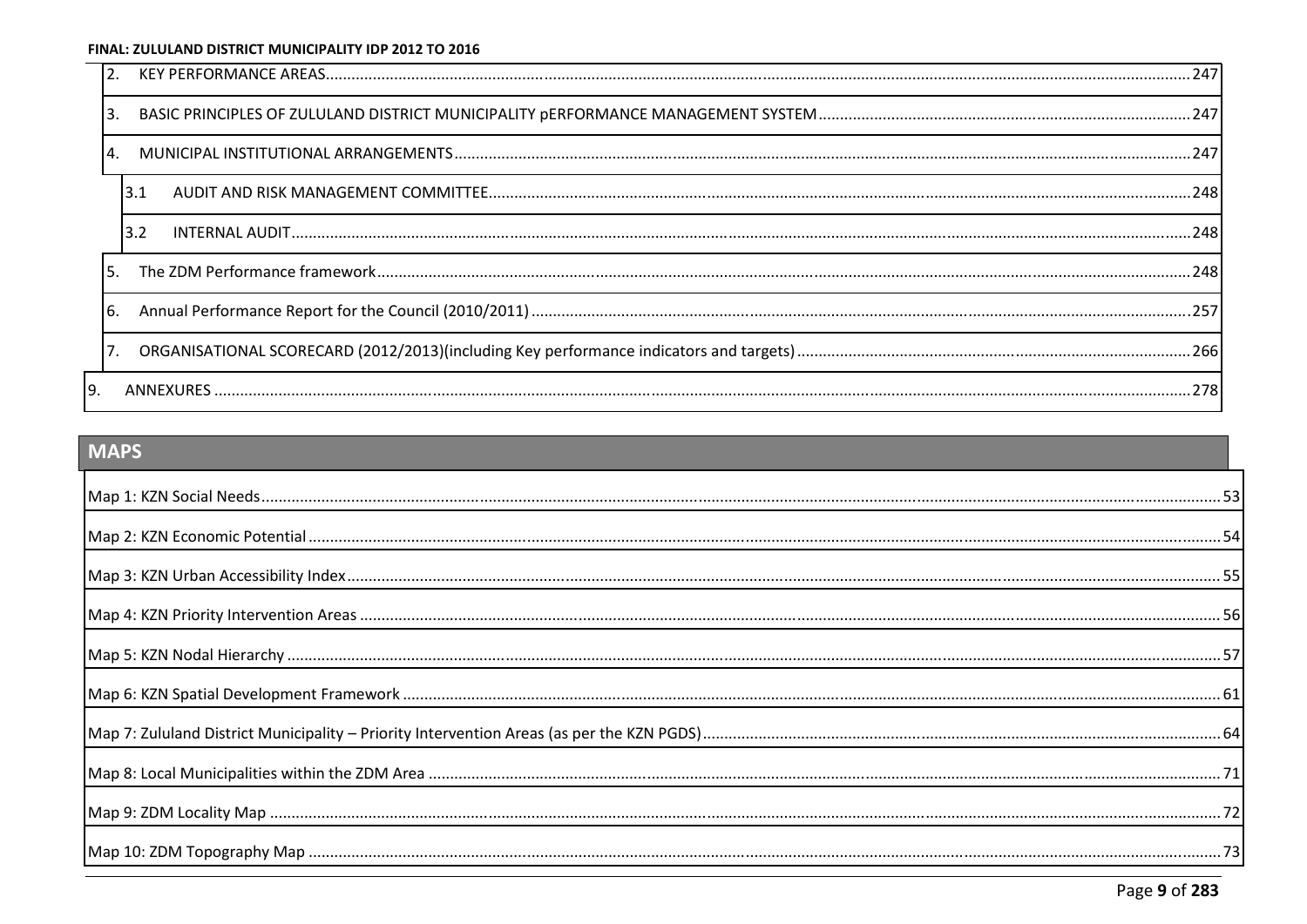<span id="page-6-6"></span><span id="page-6-4"></span><span id="page-6-1"></span>

|    | 3.1 |  |
|----|-----|--|
|    | 3.2 |  |
| 5. |     |  |
|    |     |  |
|    |     |  |
|    |     |  |

## <span id="page-6-5"></span><span id="page-6-3"></span>**MAPS**

<span id="page-6-2"></span><span id="page-6-0"></span>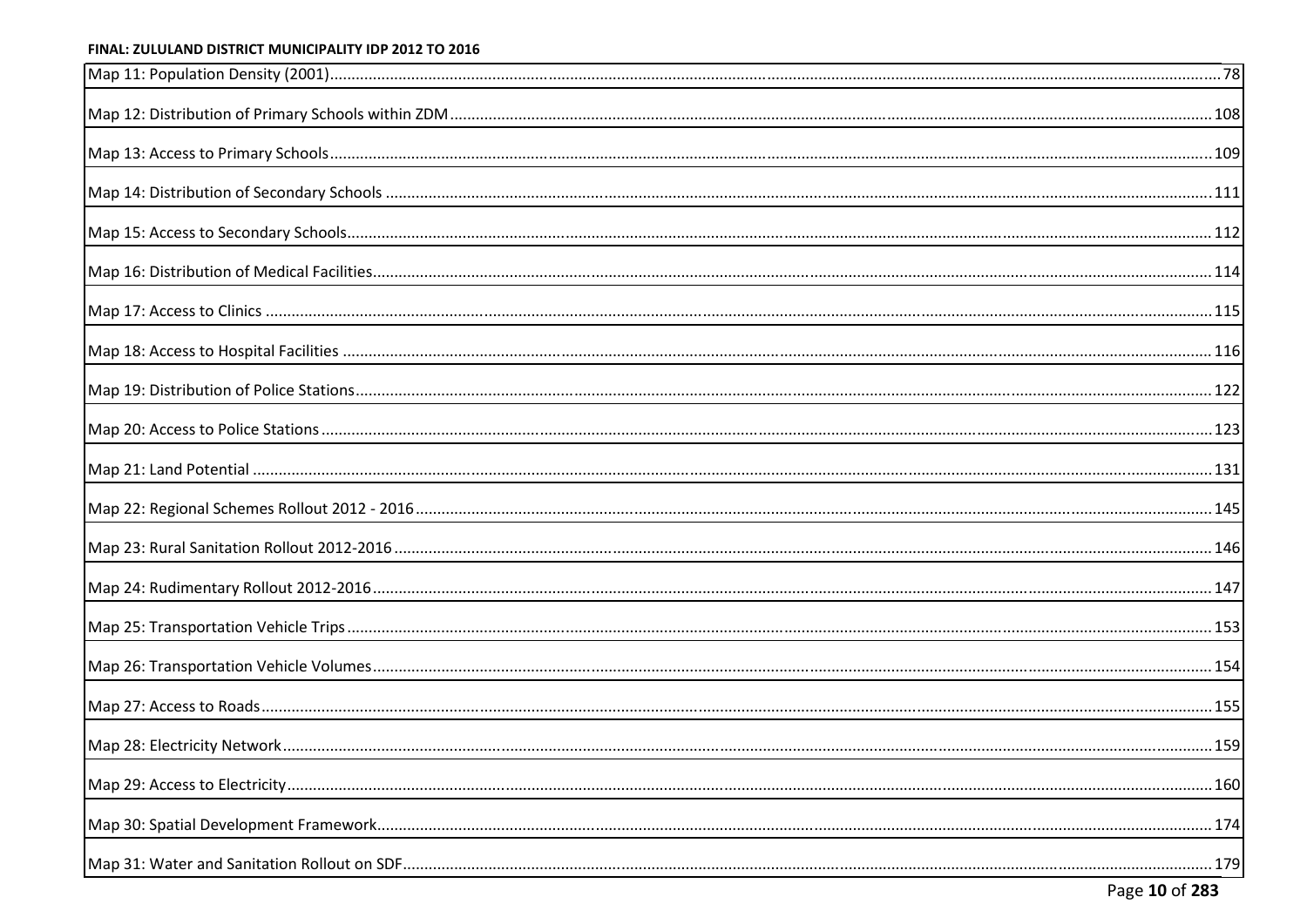<span id="page-7-1"></span><span id="page-7-0"></span>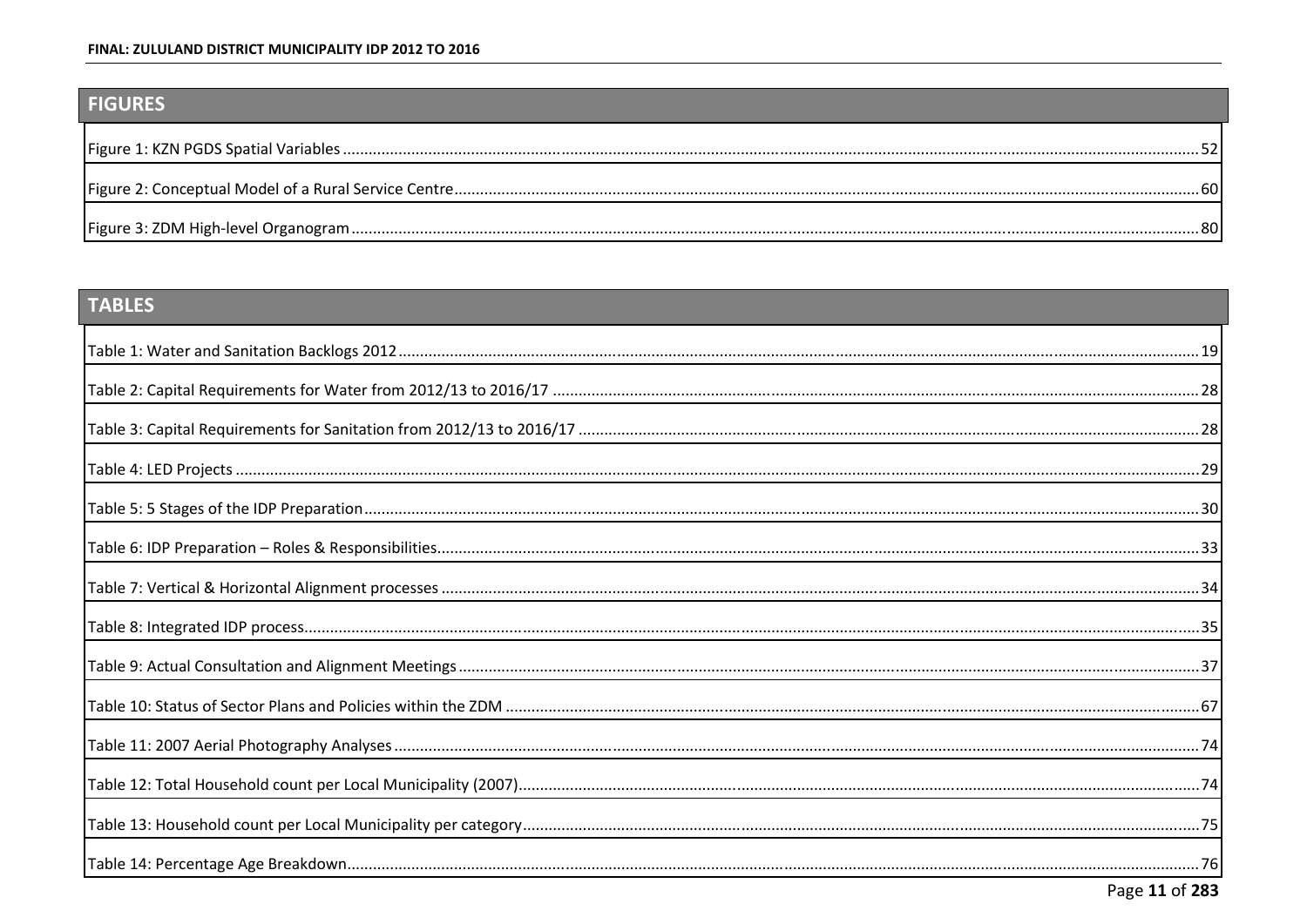## <span id="page-8-12"></span><span id="page-8-8"></span><span id="page-8-7"></span><span id="page-8-6"></span><span id="page-8-2"></span><span id="page-8-1"></span>**FIGURES**

<span id="page-8-10"></span><span id="page-8-4"></span>

# <span id="page-8-11"></span>TABLES

<span id="page-8-14"></span><span id="page-8-13"></span><span id="page-8-9"></span><span id="page-8-5"></span><span id="page-8-3"></span><span id="page-8-0"></span>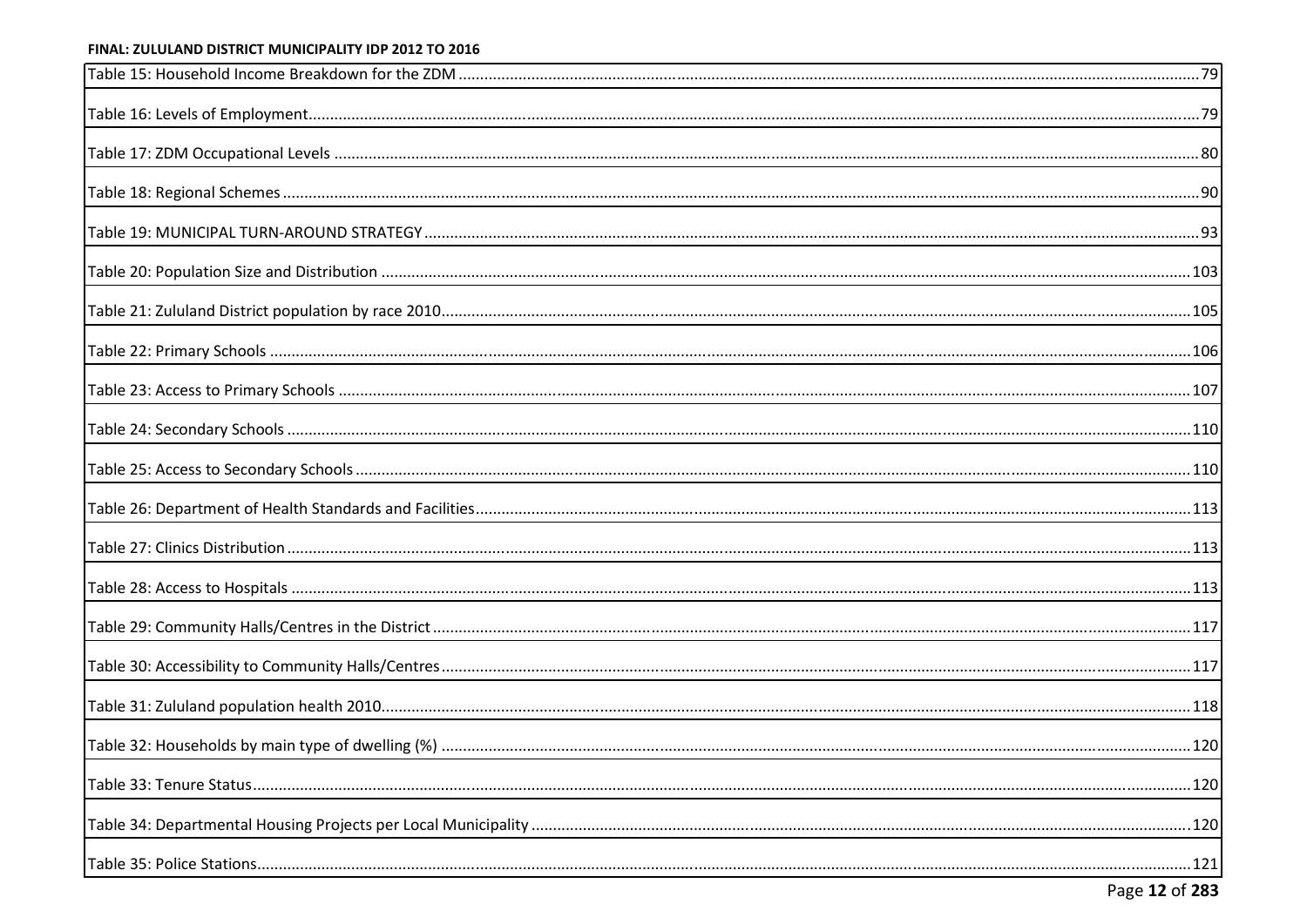<span id="page-9-18"></span><span id="page-9-17"></span><span id="page-9-16"></span><span id="page-9-15"></span><span id="page-9-14"></span><span id="page-9-13"></span><span id="page-9-12"></span><span id="page-9-11"></span><span id="page-9-10"></span><span id="page-9-9"></span><span id="page-9-8"></span><span id="page-9-7"></span><span id="page-9-6"></span><span id="page-9-5"></span><span id="page-9-4"></span><span id="page-9-3"></span><span id="page-9-2"></span><span id="page-9-1"></span><span id="page-9-0"></span>

| .120 |
|------|
|      |
|      |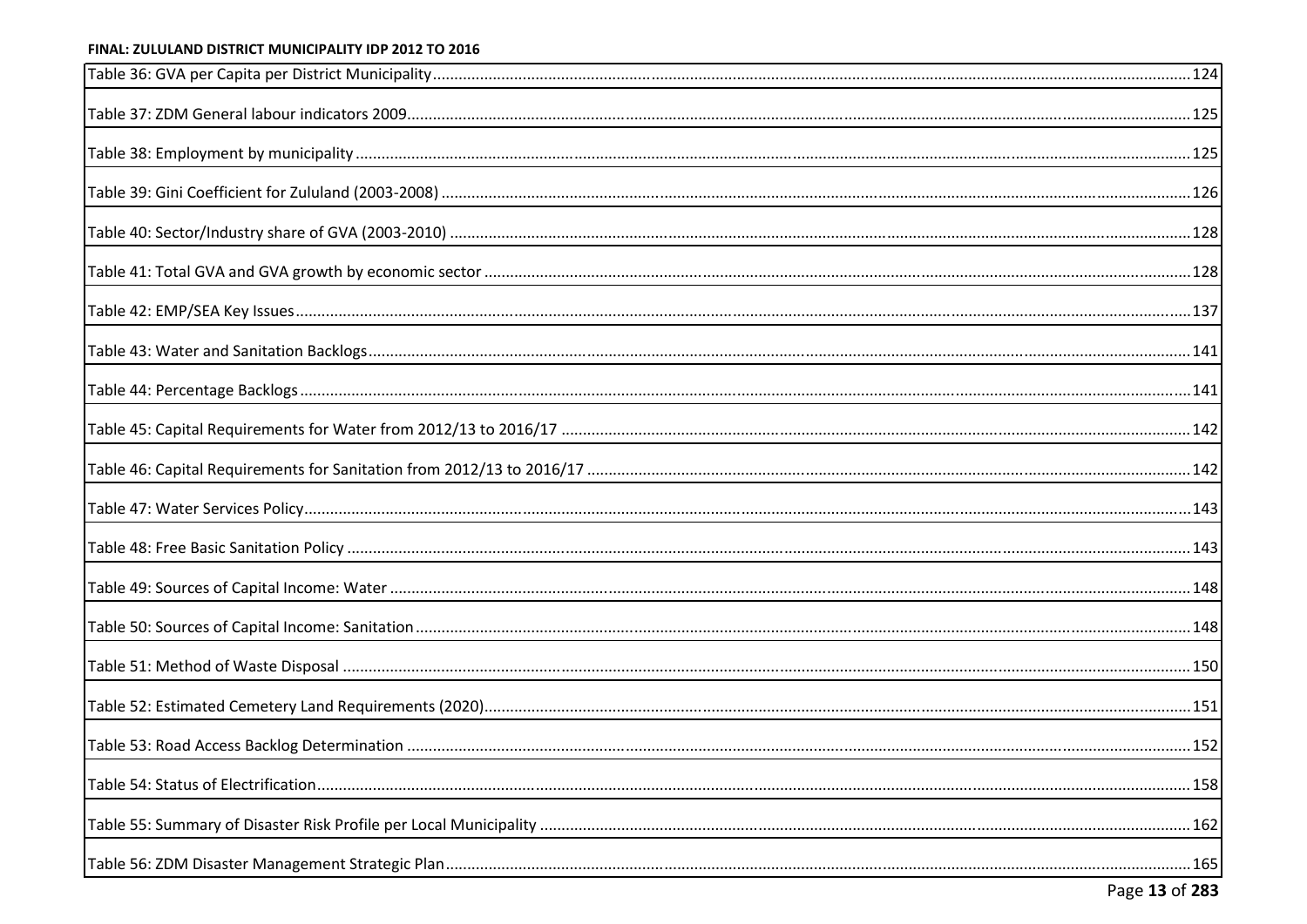<span id="page-10-15"></span><span id="page-10-14"></span><span id="page-10-13"></span><span id="page-10-12"></span><span id="page-10-11"></span><span id="page-10-10"></span><span id="page-10-9"></span><span id="page-10-8"></span><span id="page-10-7"></span><span id="page-10-6"></span><span id="page-10-5"></span><span id="page-10-4"></span><span id="page-10-3"></span><span id="page-10-2"></span><span id="page-10-1"></span><span id="page-10-0"></span>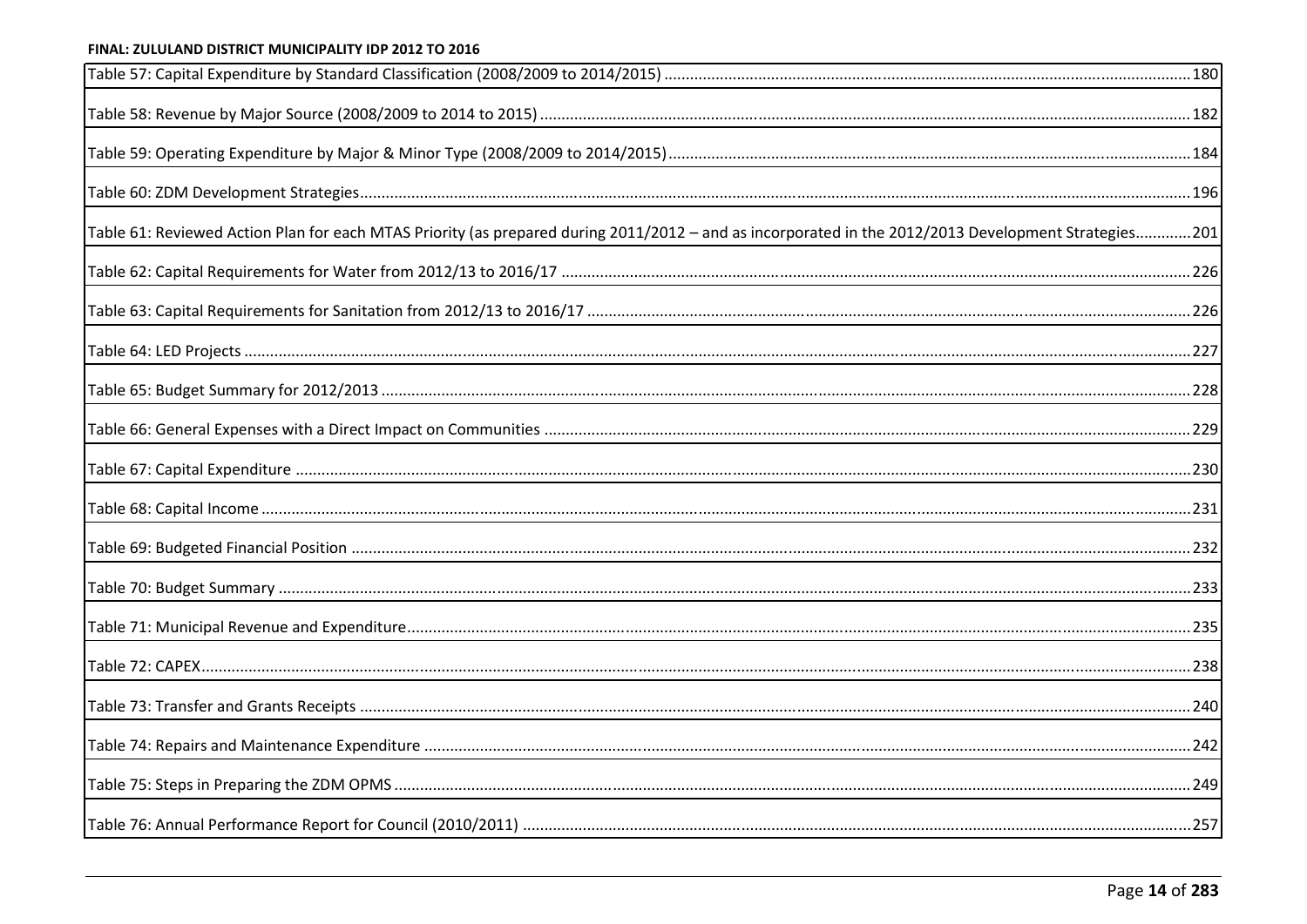<span id="page-11-15"></span><span id="page-11-14"></span><span id="page-11-13"></span><span id="page-11-12"></span><span id="page-11-11"></span><span id="page-11-10"></span><span id="page-11-9"></span><span id="page-11-8"></span><span id="page-11-7"></span><span id="page-11-6"></span><span id="page-11-5"></span><span id="page-11-4"></span><span id="page-11-3"></span><span id="page-11-2"></span><span id="page-11-1"></span><span id="page-11-0"></span>

| Table 61: Reviewed Action Plan for each MTAS Priority (as prepared during 2011/2012 - and as incorporated in the 2012/2013 Development Strategies201 |  |
|------------------------------------------------------------------------------------------------------------------------------------------------------|--|
|                                                                                                                                                      |  |
|                                                                                                                                                      |  |
|                                                                                                                                                      |  |
|                                                                                                                                                      |  |
|                                                                                                                                                      |  |
|                                                                                                                                                      |  |
|                                                                                                                                                      |  |
|                                                                                                                                                      |  |
|                                                                                                                                                      |  |
|                                                                                                                                                      |  |
|                                                                                                                                                      |  |
|                                                                                                                                                      |  |
|                                                                                                                                                      |  |
|                                                                                                                                                      |  |
|                                                                                                                                                      |  |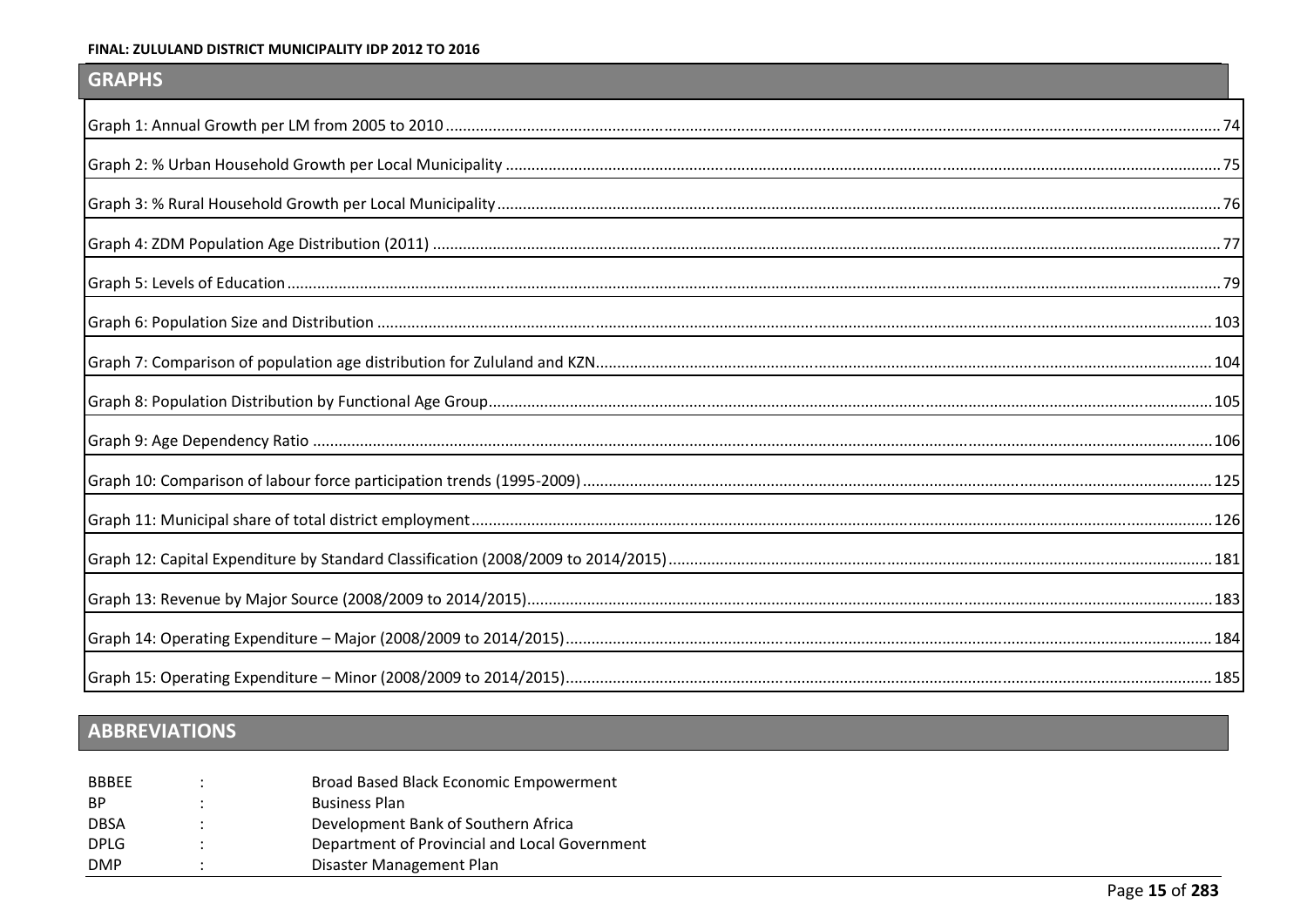## <span id="page-12-12"></span><span id="page-12-9"></span><span id="page-12-2"></span>**GRAPHS**

<span id="page-12-10"></span><span id="page-12-8"></span><span id="page-12-7"></span><span id="page-12-4"></span><span id="page-12-3"></span><span id="page-12-1"></span>

# <span id="page-12-11"></span><span id="page-12-6"></span><span id="page-12-5"></span><span id="page-12-0"></span>ABBREVIATIONS

| <b>BBBFF</b> | Broad Based Black Economic Empowerment        |
|--------------|-----------------------------------------------|
| BP.          | <b>Business Plan</b>                          |
| <b>DBSA</b>  | Development Bank of Southern Africa           |
| <b>DPLG</b>  | Department of Provincial and Local Government |
| <b>DMP</b>   | Disaster Management Plan                      |